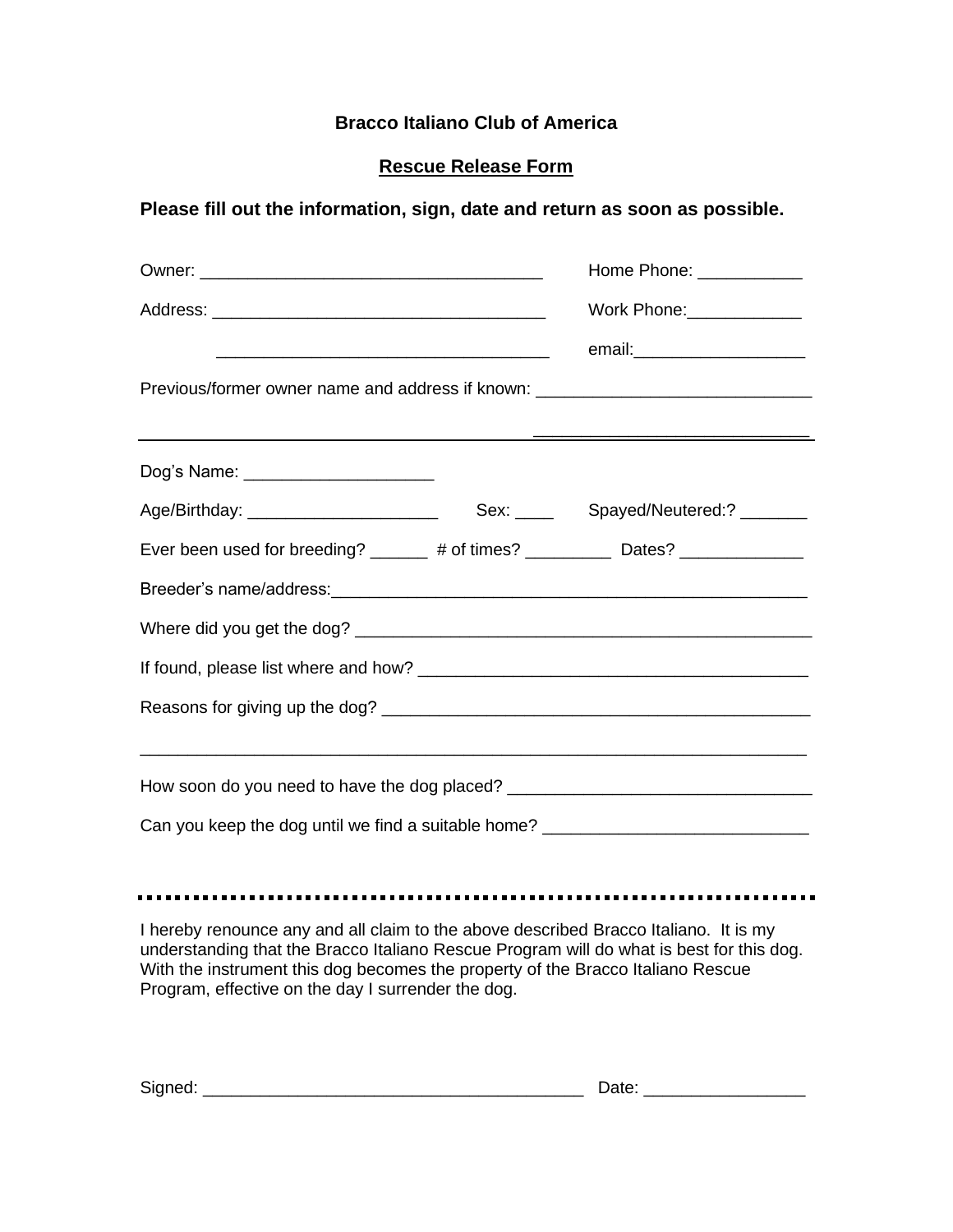## **Bracco Italiano Club of America**

## **Rescue Release Form**

## **Please fill out the information, sign, date and return as soon as possible.**

|                                                                                  |  | Home Phone: _____________             |  |  |
|----------------------------------------------------------------------------------|--|---------------------------------------|--|--|
|                                                                                  |  | Work Phone: _____________             |  |  |
| Previous/former owner name and address if known: _______________________________ |  | email:_________________________       |  |  |
|                                                                                  |  |                                       |  |  |
| Dog's Name: ______________________                                               |  |                                       |  |  |
| Age/Birthday: __________________________                                         |  | Sex: ______ Spayed/Neutered:? _______ |  |  |
| Ever been used for breeding? ______ # of times? _________ Dates? ______________  |  |                                       |  |  |
|                                                                                  |  |                                       |  |  |
|                                                                                  |  |                                       |  |  |
|                                                                                  |  |                                       |  |  |
|                                                                                  |  |                                       |  |  |
| How soon do you need to have the dog placed? ___________________________________ |  |                                       |  |  |
| Can you keep the dog until we find a suitable home? ____________________________ |  |                                       |  |  |

I hereby renounce any and all claim to the above described Bracco Italiano. It is my understanding that the Bracco Italiano Rescue Program will do what is best for this dog. With the instrument this dog becomes the property of the Bracco Italiano Rescue Program, effective on the day I surrender the dog.

| Signea: |  |
|---------|--|
|---------|--|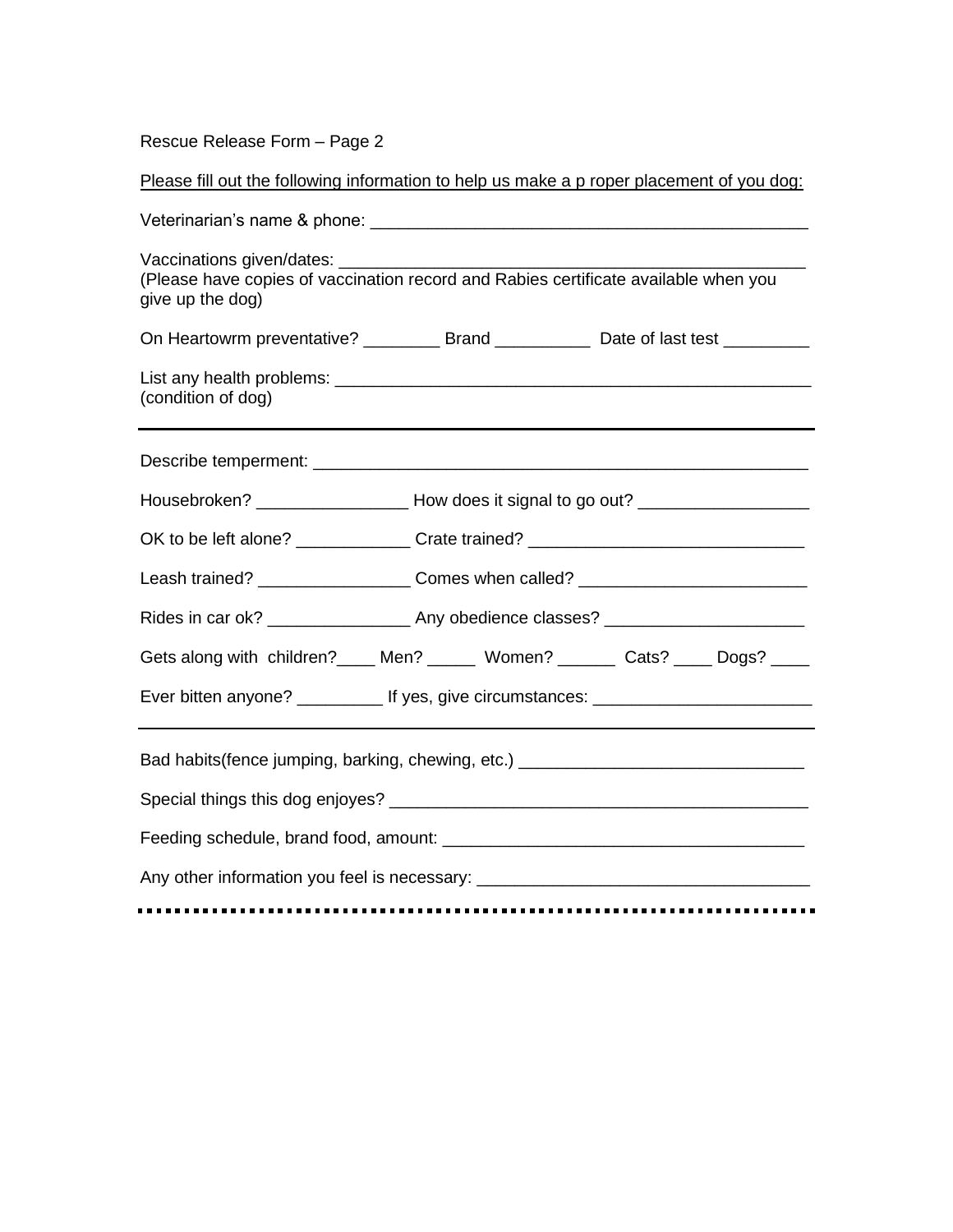Rescue Release Form – Page 2

Please fill out the following information to help us make a p roper placement of you dog:

| Vaccinations given/dates: ____________________<br>(Please have copies of vaccination record and Rabies certificate available when you<br>give up the dog) |  |  |  |
|-----------------------------------------------------------------------------------------------------------------------------------------------------------|--|--|--|
| On Heartowrm preventative? ___________ Brand _______________ Date of last test ___________                                                                |  |  |  |
| (condition of dog)                                                                                                                                        |  |  |  |
|                                                                                                                                                           |  |  |  |
| Housebroken? _________________________How does it signal to go out? ________________________________                                                      |  |  |  |
| OK to be left alone? ________________Crate trained? ____________________________                                                                          |  |  |  |
| Leash trained? ________________________Comes when called? ______________________                                                                          |  |  |  |
| Rides in car ok? _______________________ Any obedience classes? ________________________                                                                  |  |  |  |
| Gets along with children?____ Men? _____ Women? ______ Cats? ____ Dogs? ____                                                                              |  |  |  |
| Ever bitten anyone? ____________ If yes, give circumstances: ___________________                                                                          |  |  |  |
| Bad habits(fence jumping, barking, chewing, etc.) ______________________________                                                                          |  |  |  |
|                                                                                                                                                           |  |  |  |
|                                                                                                                                                           |  |  |  |
| Any other information you feel is necessary: ___________________________________<br>.                                                                     |  |  |  |